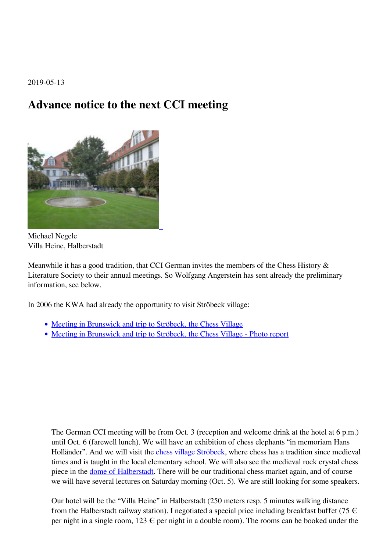2019-05-13

## **Advance notice to the next CCI meeting**



Michael Negele Villa Heine, Halberstadt

Meanwhile it has a good tradition, that CCI German invites the members of the Chess History & Literature Society to their annual meetings. So Wolfgang Angerstein has sent already the preliminary information, see below.

In 2006 the KWA had already the opportunity to visit Ströbeck village:

- [Meeting in Brunswick and trip to Ströbeck, the Chess Village](https://www.kwabc.org/en/newsitem/meeting-in-brunswick-and-trip-to-stroebeck-the-chess-village.html)
- [Meeting in Brunswick and trip to Ströbeck, the Chess Village Photo report](https://www.kwabc.org/en/newsitem/meeting-in-brunswick-and-trip-to-stroebeck-the-chess-village-photo-report.html)

The German CCI meeting will be from Oct. 3 (reception and welcome drink at the hotel at 6 p.m.) until Oct. 6 (farewell lunch). We will have an exhibition of chess elephants "in memoriam Hans Holländer". And we will visit the [chess village Ströbeck](http://www.schachdorf-stroebeck.de/), where chess has a tradition since medieval times and is taught in the local elementary school. We will also see the medieval rock crystal chess piece in the [dome of Halberstadt](https://www.halberstadt.de/de/dom-domschatz/dom-und-domschatz-zu-halberstadt.html). There will be our traditional chess market again, and of course we will have several lectures on Saturday morning (Oct. 5). We are still looking for some speakers.

Our hotel will be the "Villa Heine" in Halberstadt (250 meters resp. 5 minutes walking distance from the Halberstadt railway station). I negotiated a special price including breakfast buffet (75  $\epsilon$ ) per night in a single room,  $123 \in$  per night in a double room). The rooms can be booked under the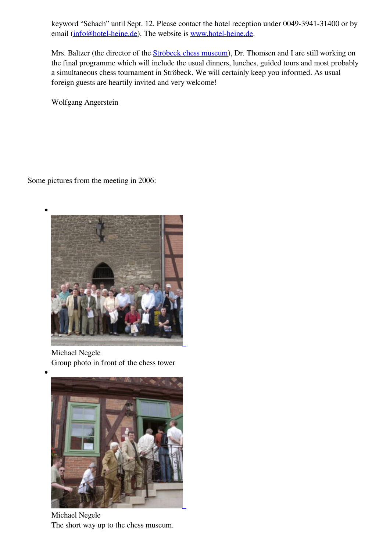keyword "Schach" until Sept. 12. Please contact the hotel reception under 0049-3941-31400 or by email ([info@hotel-heine.de\)](mailto:info@hotel-heine.de). The website is [www.hotel-heine.de](http://www.hotel-heine.de).

Mrs. Baltzer (the director of the **Ströbeck chess museum**), Dr. Thomsen and I are still working on the final programme which will include the usual dinners, lunches, guided tours and most probably a simultaneous chess tournament in Ströbeck. We will certainly keep you informed. As usual foreign guests are heartily invited and very welcome!

Wolfgang Angerstein

Some pictures from the meeting in 2006:



Michael Negele Group photo in front of the chess tower



Michael Negele The short way up to the chess museum.